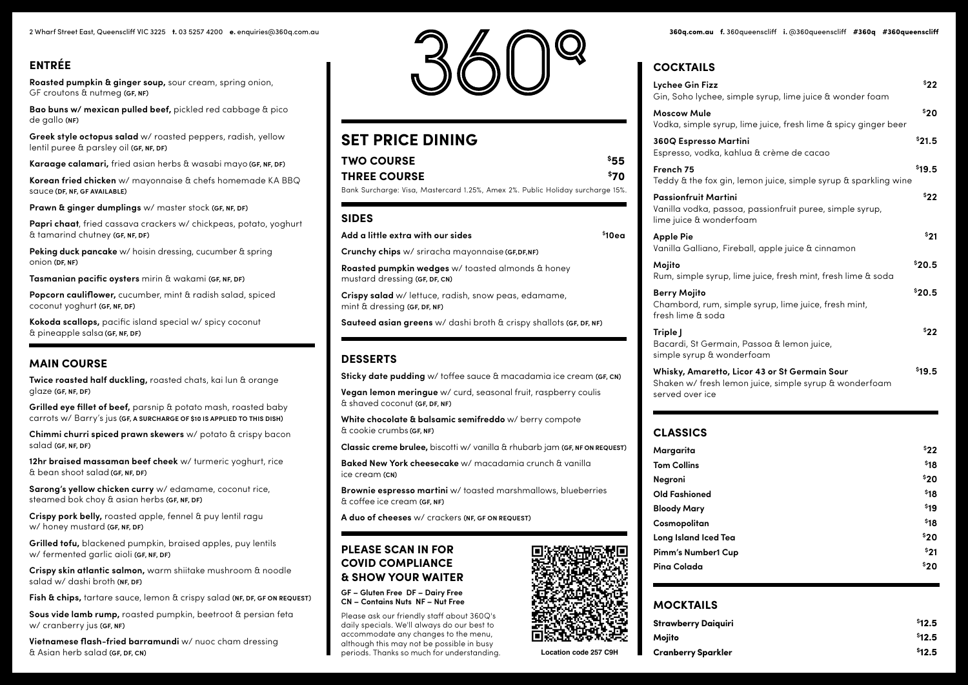# **ENTRÉE**

**Roasted pumpkin & ginger soup,** sour cream, spring onion, GF croutons & nutmeg **(GF, NF)**

**Bao buns w/ mexican pulled beef,** pickled red cabbage & pico de gallo **(NF)**

**Greek style octopus salad** w/ roasted peppers, radish, yellow lentil puree & parsley oil **(GF, NF, DF)**

**Karaage calamari,** fried asian herbs & wasabi mayo **(GF, NF, DF)**

**Korean fried chicken** w/ mayonnaise & chefs homemade KA BBQ sauce **(DF, NF, GF AVAILABLE)**

**Prawn & ginger dumplings** w/ master stock **(GF, NF, DF)**

**Papri chaat**, fried cassava crackers w/ chickpeas, potato, yoghurt & tamarind chutney **(GF, NF, DF)**

**Peking duck pancake** w/ hoisin dressing, cucumber & spring onion **(DF, NF)**

**Tasmanian pacific oysters** mirin & wakami **(GF, NF, DF)**

**Popcorn cauliflower,** cucumber, mint & radish salad, spiced coconut yoghurt **(GF, NF, DF)**

**Kokoda scallops,** pacific island special w/ spicy coconut & pineapple salsa **(GF, NF, DF)**

### **MAIN COURSE**

**Twice roasted half duckling,** roasted chats, kai lun & orange glaze **(GF, NF, DF)**

**Grilled eye fillet of beef,** parsnip & potato mash, roasted baby carrots w/ Barry's jus **(GF, A SURCHARGE OF \$10 IS APPLIED TO THIS DISH)**

**Chimmi churri spiced prawn skewers** w/ potato & crispy bacon salad **(GF, NF, DF)**

**12hr braised massaman beef cheek** w/ turmeric yoghurt, rice & bean shoot salad **(GF, NF, DF)**

**Sarong's yellow chicken curry** w/ edamame, coconut rice, steamed bok choy & asian herbs **(GF, NF, DF)**

**Crispy pork belly,** roasted apple, fennel & puy lentil ragu w/ honey mustard **(GF, NF, DF)**

**Grilled tofu,** blackened pumpkin, braised apples, puy lentils w/ fermented garlic aioli **(GF, NF, DF)**

**Crispy skin atlantic salmon,** warm shiitake mushroom & noodle salad w/ dashi broth **(NF, DF)**

**Fish & chips,** tartare sauce, lemon & crispy salad **(NF, DF, GF ON REQUEST)**

**Sous vide lamb rump,** roasted pumpkin, beetroot & persian feta w/ cranberry jus **(GF, NF)**

**Vietnamese flash-fried barramundi** w/ nuoc cham dressing & Asian herb salad **(GF, DF, CN)**



# **SET PRICE DINING**

| TWO COURSE                                                                     | 555  |
|--------------------------------------------------------------------------------|------|
| <b>THREE COURSE</b>                                                            | \$70 |
| Bank Surcharge: Visa, Mastercard 1.25%, Amex 2%. Public Holiday surcharge 15%. |      |
| CINEC                                                                          |      |

### **SIDES**

| Add a little extra with our sides                                                           | <sup>\$</sup> 10ea |
|---------------------------------------------------------------------------------------------|--------------------|
| <b>Crunchy chips</b> w/ sriracha mayonnaise (GF,DF,NF)                                      |                    |
| <b>Roasted pumpkin wedges</b> w/ toasted almonds & honey<br>mustard dressing (GF, DF, CN)   |                    |
| <b>Crispy salad</b> w/ lettuce, radish, snow peas, edamame,<br>mint & dressing (GF, DF, NF) |                    |
| <b>Sauteed asian greens</b> w/ dashi broth & crispy shallots ( <b>GF, DF, NF</b> )          |                    |

### **DESSERTS**

**Sticky date pudding** w/ toffee sauce & macadamia ice cream **(GF, CN)**

**Vegan lemon meringue** w/ curd, seasonal fruit, raspberry coulis & shaved coconut **(GF, DF, NF)**

**White chocolate & balsamic semifreddo** w/ berry compote & cookie crumbs **(GF, NF)**

**Classic creme brulee,** biscotti w/ vanilla & rhubarb jam **(GF, NF ON REQUEST)**

**Baked New York cheesecake** w/ macadamia crunch & vanilla ice cream **(CN)**

**Brownie espresso martini** w/ toasted marshmallows, blueberries & coffee ice cream **(GF, NF)**

**A duo of cheeses** w/ crackers **(NF, GF ON REQUEST)**

### **PLEASE SCAN IN FOR COVID COMPLIANCE & SHOW YOUR WAITER**

#### **GF – Gluten Free DF – Dairy Free CN – Contains Nuts NF – Nut Free**

Please ask our friendly staff about 360Q's daily specials. We'll always do our best to accommodate any changes to the menu, although this may not be possible in busy periods. Thanks so much for understanding.

### **COCKTAILS**

| \$22<br>Lychee Gin Fizz<br>Gin, Soho lychee, simple syrup, lime juice & wonder foam                                                              |  |
|--------------------------------------------------------------------------------------------------------------------------------------------------|--|
| \$20<br><b>Moscow Mule</b><br>Vodka, simple syrup, lime juice, fresh lime & spicy ginger beer                                                    |  |
| \$21.5<br>360Q Espresso Martini<br>Espresso, vodka, kahlua & crème de cacao                                                                      |  |
| \$19.5<br>French 75<br>Teddy & the fox gin, lemon juice, simple syrup & sparkling wine                                                           |  |
| <b>\$22</b><br><b>Passionfruit Martini</b><br>Vanilla vodka, passoa, passionfruit puree, simple syrup,<br>lime juice & wonderfoam                |  |
| \$21<br><b>Apple Pie</b><br>Vanilla Galliano, Fireball, apple juice & cinnamon                                                                   |  |
| <sup>\$</sup> 20.5<br>Mojito<br>Rum, simple syrup, lime juice, fresh mint, fresh lime & soda                                                     |  |
| <sup>\$</sup> 20.5<br><b>Berry Mojito</b><br>Chambord, rum, simple syrup, lime juice, fresh mint,<br>fresh lime & soda                           |  |
| \$22<br>Triple J<br>Bacardi, St Germain, Passoa & lemon juice,<br>simple syrup & wonderfoam                                                      |  |
| <sup>\$</sup> 19.5<br>Whisky, Amaretto, Licor 43 or St Germain Sour<br>Shaken w/ fresh lemon juice, simple syrup & wonderfoam<br>served over ice |  |

### **CLASSICS**

| Margarita            | \$22 |
|----------------------|------|
| <b>Tom Collins</b>   | \$18 |
| Negroni              | \$20 |
| <b>Old Fashioned</b> | \$18 |
| <b>Bloody Mary</b>   | \$19 |
| Cosmopolitan         | \$18 |
| Long Island Iced Tea | \$20 |
| Pimm's Number1 Cup   | \$21 |
| Pina Colada          | \$20 |
|                      |      |

## **MOCKTAILS**

| <b>Strawberry Daiguiri</b> | \$12.5 |
|----------------------------|--------|
| Moiito                     | \$12.5 |
| <b>Cranberry Sparkler</b>  | \$12.5 |

**Location code 257 C9H**

**360q RESTAURANT**

**1 2 3**